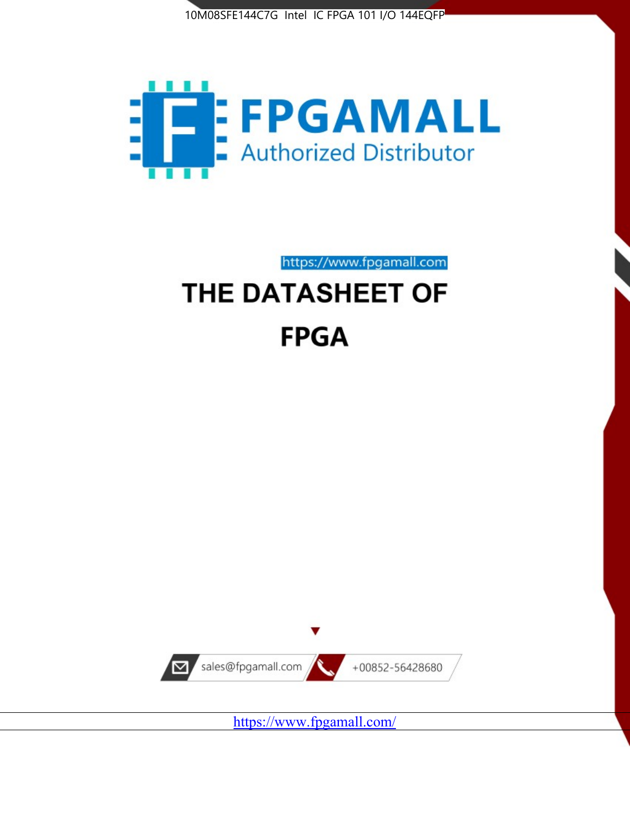



https://www.fpgamall.com THE DATASHEET OF

# **FPGA**



<https://www.fpgamall.com/>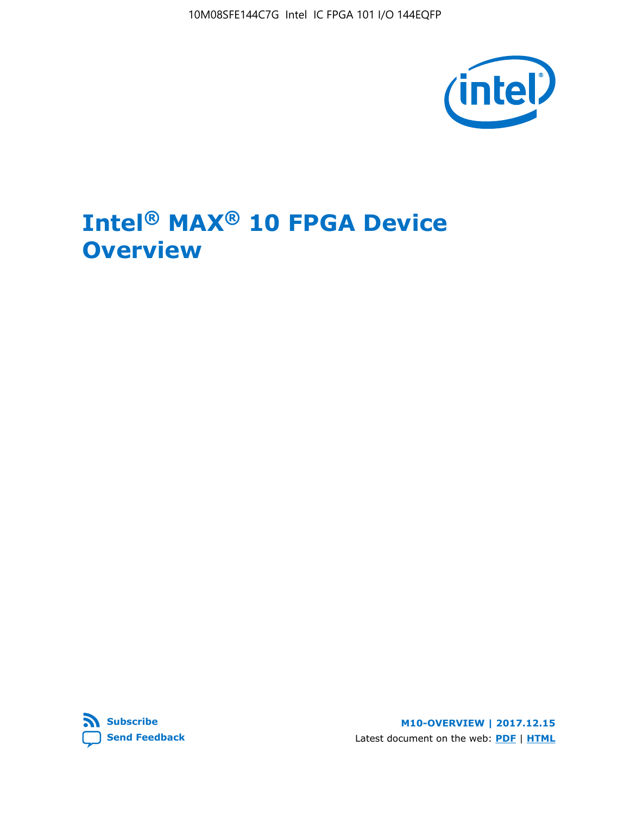10M08SFE144C7G Intel IC FPGA 101 I/O 144EQFP



# **Intel® MAX® 10 FPGA Device Overview**



**M10-OVERVIEW | 2017.12.15** Latest document on the web: **[PDF](https://www.altera.com/en_US/pdfs/literature/hb/max-10/m10_overview.pdf)** | **[HTML](https://www.altera.com/documentation/myt1396938463674.html)**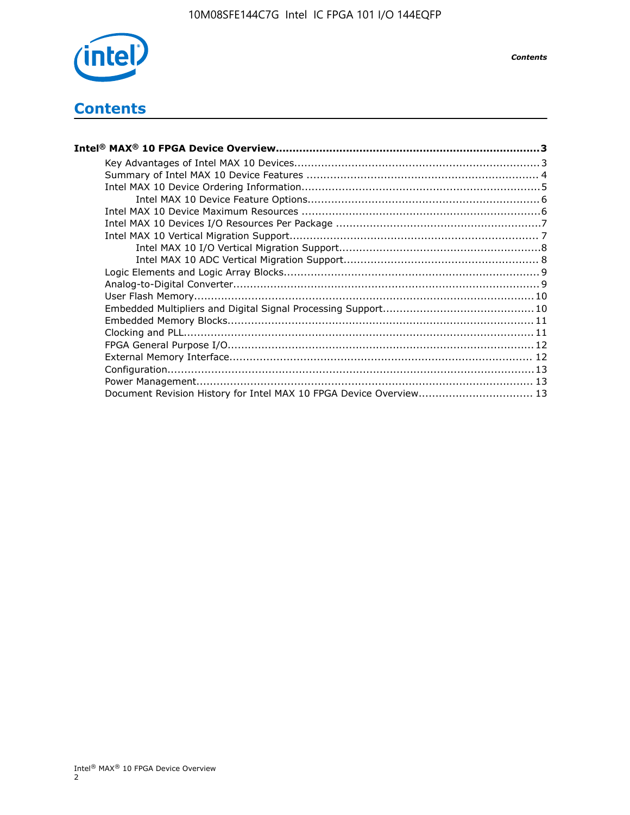

# **Contents**

| Intel® MAX® 10 FPGA Device Overview……………………………………………………………………………3  |  |
|--------------------------------------------------------------------|--|
|                                                                    |  |
|                                                                    |  |
|                                                                    |  |
|                                                                    |  |
|                                                                    |  |
|                                                                    |  |
|                                                                    |  |
|                                                                    |  |
|                                                                    |  |
|                                                                    |  |
|                                                                    |  |
|                                                                    |  |
|                                                                    |  |
|                                                                    |  |
|                                                                    |  |
|                                                                    |  |
|                                                                    |  |
|                                                                    |  |
|                                                                    |  |
| Document Revision History for Intel MAX 10 FPGA Device Overview 13 |  |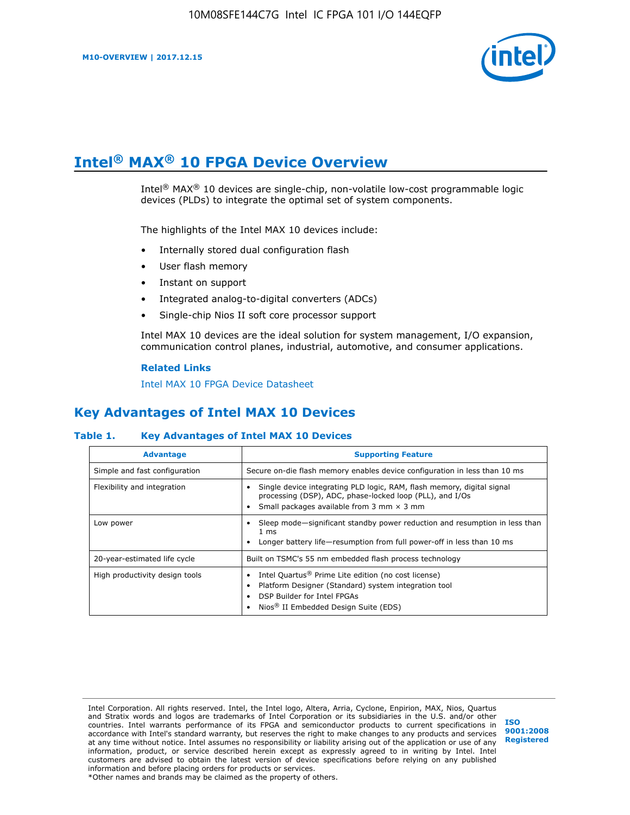

# **Intel® MAX® 10 FPGA Device Overview**

Intel® MAX® 10 devices are single-chip, non-volatile low-cost programmable logic devices (PLDs) to integrate the optimal set of system components.

The highlights of the Intel MAX 10 devices include:

- Internally stored dual configuration flash
- User flash memory
- Instant on support
- Integrated analog-to-digital converters (ADCs)
- Single-chip Nios II soft core processor support

Intel MAX 10 devices are the ideal solution for system management, I/O expansion, communication control planes, industrial, automotive, and consumer applications.

#### **Related Links**

[Intel MAX 10 FPGA Device Datasheet](https://www.altera.com/documentation/mcn1397700832153.html#mcn1397643748870)

## **Key Advantages of Intel MAX 10 Devices**

#### **Table 1. Key Advantages of Intel MAX 10 Devices**

| <b>Advantage</b>               | <b>Supporting Feature</b>                                                                                                                                                                                  |
|--------------------------------|------------------------------------------------------------------------------------------------------------------------------------------------------------------------------------------------------------|
| Simple and fast configuration  | Secure on-die flash memory enables device configuration in less than 10 ms                                                                                                                                 |
| Flexibility and integration    | Single device integrating PLD logic, RAM, flash memory, digital signal<br>processing (DSP), ADC, phase-locked loop (PLL), and I/Os<br>Small packages available from 3 mm $\times$ 3 mm                     |
| Low power                      | Sleep mode—significant standby power reduction and resumption in less than<br>$1 \text{ ms}$<br>Longer battery life-resumption from full power-off in less than 10 ms                                      |
| 20-year-estimated life cycle   | Built on TSMC's 55 nm embedded flash process technology                                                                                                                                                    |
| High productivity design tools | Intel Quartus <sup>®</sup> Prime Lite edition (no cost license)<br>Platform Designer (Standard) system integration tool<br>DSP Builder for Intel FPGAs<br>Nios <sup>®</sup> II Embedded Design Suite (EDS) |

Intel Corporation. All rights reserved. Intel, the Intel logo, Altera, Arria, Cyclone, Enpirion, MAX, Nios, Quartus and Stratix words and logos are trademarks of Intel Corporation or its subsidiaries in the U.S. and/or other countries. Intel warrants performance of its FPGA and semiconductor products to current specifications in accordance with Intel's standard warranty, but reserves the right to make changes to any products and services at any time without notice. Intel assumes no responsibility or liability arising out of the application or use of any information, product, or service described herein except as expressly agreed to in writing by Intel. Intel customers are advised to obtain the latest version of device specifications before relying on any published information and before placing orders for products or services. \*Other names and brands may be claimed as the property of others.

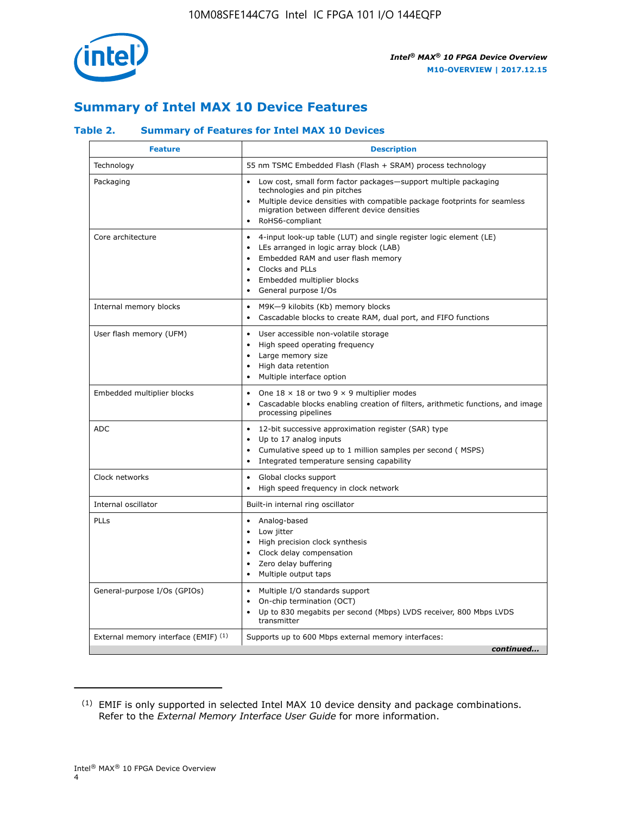

## **Summary of Intel MAX 10 Device Features**

### **Table 2. Summary of Features for Intel MAX 10 Devices**

| <b>Feature</b>                       | <b>Description</b>                                                                                                                                                                                                                                                                            |
|--------------------------------------|-----------------------------------------------------------------------------------------------------------------------------------------------------------------------------------------------------------------------------------------------------------------------------------------------|
| Technology                           | 55 nm TSMC Embedded Flash (Flash + SRAM) process technology                                                                                                                                                                                                                                   |
| Packaging                            | Low cost, small form factor packages-support multiple packaging<br>technologies and pin pitches<br>Multiple device densities with compatible package footprints for seamless<br>migration between different device densities<br>RoHS6-compliant                                               |
| Core architecture                    | 4-input look-up table (LUT) and single register logic element (LE)<br>$\bullet$<br>LEs arranged in logic array block (LAB)<br>$\bullet$<br>Embedded RAM and user flash memory<br>$\bullet$<br>Clocks and PLLs<br>$\bullet$<br>Embedded multiplier blocks<br>General purpose I/Os<br>$\bullet$ |
| Internal memory blocks               | M9K-9 kilobits (Kb) memory blocks<br>$\bullet$<br>Cascadable blocks to create RAM, dual port, and FIFO functions<br>$\bullet$                                                                                                                                                                 |
| User flash memory (UFM)              | User accessible non-volatile storage<br>$\bullet$<br>High speed operating frequency<br>$\bullet$<br>Large memory size<br>High data retention<br>$\bullet$<br>Multiple interface option                                                                                                        |
| Embedded multiplier blocks           | One $18 \times 18$ or two 9 $\times$ 9 multiplier modes<br>$\bullet$<br>Cascadable blocks enabling creation of filters, arithmetic functions, and image<br>processing pipelines                                                                                                               |
| <b>ADC</b>                           | 12-bit successive approximation register (SAR) type<br>$\bullet$<br>Up to 17 analog inputs<br>$\bullet$<br>Cumulative speed up to 1 million samples per second (MSPS)<br>Integrated temperature sensing capability<br>$\bullet$                                                               |
| Clock networks                       | Global clocks support<br>$\bullet$<br>High speed frequency in clock network                                                                                                                                                                                                                   |
| Internal oscillator                  | Built-in internal ring oscillator                                                                                                                                                                                                                                                             |
| PLLs                                 | Analog-based<br>$\bullet$<br>Low jitter<br>High precision clock synthesis<br>$\bullet$<br>Clock delay compensation<br>$\bullet$<br>Zero delay buffering<br>٠<br>Multiple output taps<br>$\bullet$                                                                                             |
| General-purpose I/Os (GPIOs)         | Multiple I/O standards support<br>$\bullet$<br>On-chip termination (OCT)<br>٠<br>Up to 830 megabits per second (Mbps) LVDS receiver, 800 Mbps LVDS<br>transmitter                                                                                                                             |
| External memory interface (EMIF) (1) | Supports up to 600 Mbps external memory interfaces:<br>continued                                                                                                                                                                                                                              |
|                                      |                                                                                                                                                                                                                                                                                               |

<sup>(1)</sup> EMIF is only supported in selected Intel MAX 10 device density and package combinations. Refer to the *External Memory Interface User Guide* for more information.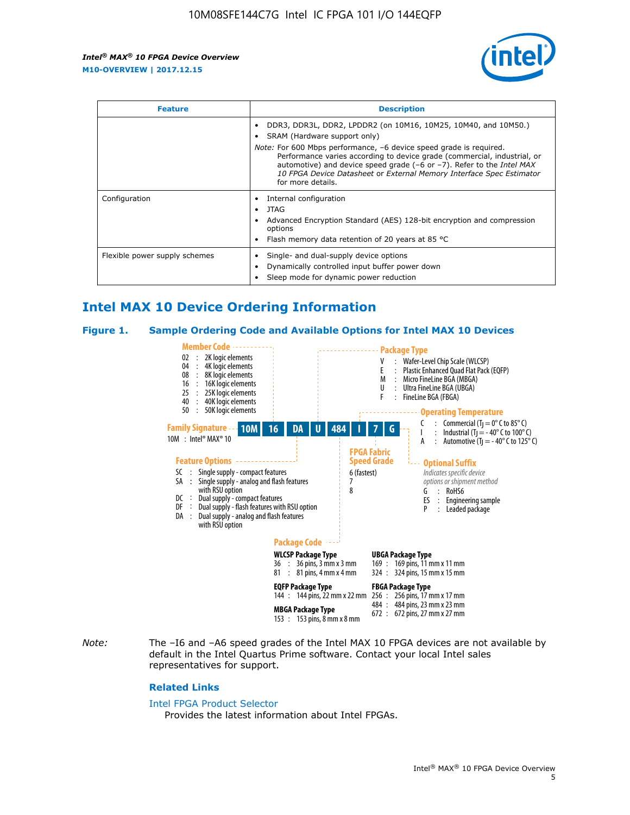

| <b>Feature</b>                | <b>Description</b>                                                                                                                                                                                                                                                                                                                             |  |  |  |
|-------------------------------|------------------------------------------------------------------------------------------------------------------------------------------------------------------------------------------------------------------------------------------------------------------------------------------------------------------------------------------------|--|--|--|
|                               | DDR3, DDR3L, DDR2, LPDDR2 (on 10M16, 10M25, 10M40, and 10M50.)<br>SRAM (Hardware support only)                                                                                                                                                                                                                                                 |  |  |  |
|                               | <i>Note:</i> For 600 Mbps performance, -6 device speed grade is required.<br>Performance varies according to device grade (commercial, industrial, or<br>automotive) and device speed grade $(-6 \text{ or } -7)$ . Refer to the <i>Intel MAX</i><br>10 FPGA Device Datasheet or External Memory Interface Spec Estimator<br>for more details. |  |  |  |
| Configuration                 | Internal configuration                                                                                                                                                                                                                                                                                                                         |  |  |  |
|                               | JTAG<br>٠                                                                                                                                                                                                                                                                                                                                      |  |  |  |
|                               | Advanced Encryption Standard (AES) 128-bit encryption and compression<br>options                                                                                                                                                                                                                                                               |  |  |  |
|                               | Flash memory data retention of 20 years at 85 $^{\circ}$ C                                                                                                                                                                                                                                                                                     |  |  |  |
| Flexible power supply schemes | Single- and dual-supply device options                                                                                                                                                                                                                                                                                                         |  |  |  |
|                               | Dynamically controlled input buffer power down                                                                                                                                                                                                                                                                                                 |  |  |  |
|                               | Sleep mode for dynamic power reduction                                                                                                                                                                                                                                                                                                         |  |  |  |

## **Intel MAX 10 Device Ordering Information**

#### **Figure 1. Sample Ordering Code and Available Options for Intel MAX 10 Devices**



*Note:* The –I6 and –A6 speed grades of the Intel MAX 10 FPGA devices are not available by default in the Intel Quartus Prime software. Contact your local Intel sales representatives for support.

#### **Related Links**

#### [Intel FPGA Product Selector](http://www.altera.com/products/selector/psg-selector.html)

Provides the latest information about Intel FPGAs.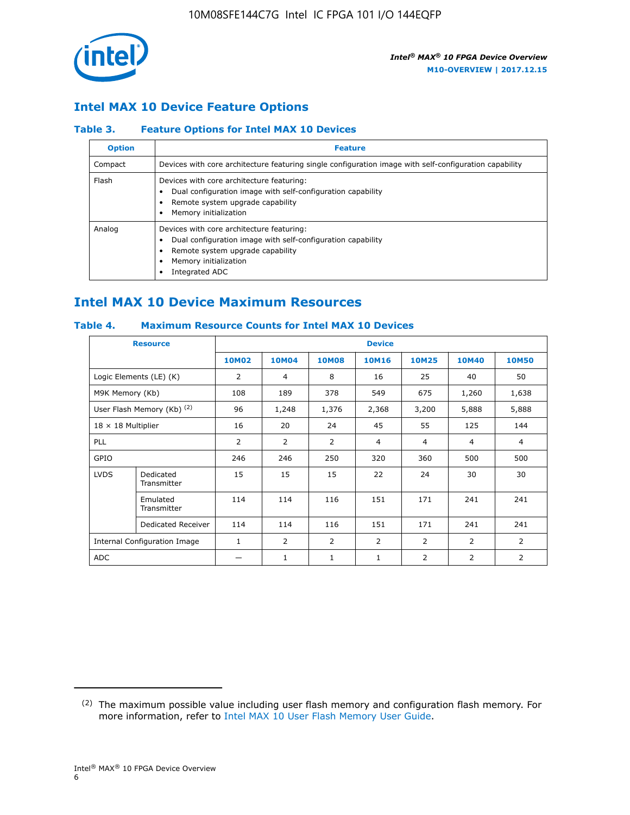

## **Intel MAX 10 Device Feature Options**

### **Table 3. Feature Options for Intel MAX 10 Devices**

| <b>Option</b> | <b>Feature</b>                                                                                                                                                                          |
|---------------|-----------------------------------------------------------------------------------------------------------------------------------------------------------------------------------------|
| Compact       | Devices with core architecture featuring single configuration image with self-configuration capability                                                                                  |
| Flash         | Devices with core architecture featuring:<br>Dual configuration image with self-configuration capability<br>Remote system upgrade capability<br>Memory initialization                   |
| Analog        | Devices with core architecture featuring:<br>Dual configuration image with self-configuration capability<br>Remote system upgrade capability<br>Memory initialization<br>Integrated ADC |

## **Intel MAX 10 Device Maximum Resources**

## **Table 4. Maximum Resource Counts for Intel MAX 10 Devices**

|                 | <b>Resource</b>              | <b>Device</b> |              |              |                |                |                |                |
|-----------------|------------------------------|---------------|--------------|--------------|----------------|----------------|----------------|----------------|
|                 |                              | <b>10M02</b>  | <b>10M04</b> | <b>10M08</b> | <b>10M16</b>   | <b>10M25</b>   | <b>10M40</b>   | <b>10M50</b>   |
|                 | Logic Elements (LE) (K)      | 2             | 4            | 8            | 16             | 25             | 40             | 50             |
| M9K Memory (Kb) |                              | 108           | 189          | 378          | 549            | 675            | 1,260          | 1,638          |
|                 | User Flash Memory (Kb) (2)   | 96            | 1,248        | 1,376        | 2,368          | 3,200          | 5,888          | 5,888          |
|                 | $18 \times 18$ Multiplier    |               | 20           | 24           | 45             | 55             | 125            | 144            |
| <b>PLL</b>      |                              | 2             | 2            | 2            | 4              | $\overline{4}$ | 4              | $\overline{4}$ |
| GPIO            |                              | 246           | 246          | 250          | 320            | 360            | 500            | 500            |
| <b>LVDS</b>     | Dedicated<br>Transmitter     | 15            | 15           | 15           | 22             | 24             | 30             | 30             |
|                 | Emulated<br>Transmitter      | 114           | 114          | 116          | 151            | 171            | 241            | 241            |
|                 | Dedicated Receiver           | 114           | 114          | 116          | 151            | 171            | 241            | 241            |
|                 | Internal Configuration Image | $\mathbf{1}$  | 2            | 2            | $\overline{2}$ | 2              | $\overline{2}$ | $\overline{2}$ |
| <b>ADC</b>      |                              |               | 1            | 1            | 1              | 2              | 2              | $\overline{2}$ |

<sup>(2)</sup> The maximum possible value including user flash memory and configuration flash memory. For more information, refer to [Intel MAX 10 User Flash Memory User Guide](https://www.altera.com/documentation/vgo1395753117436.html#vgo1395811844282).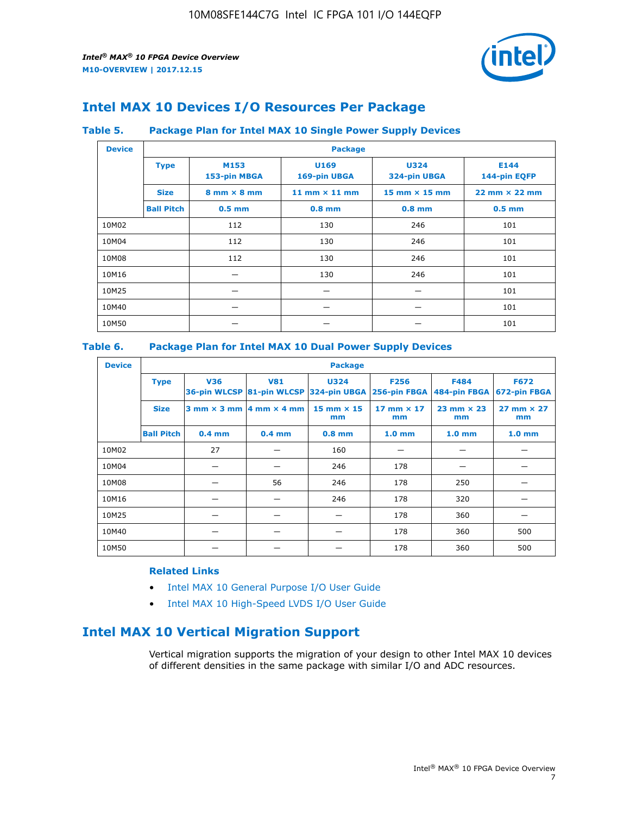

## **Intel MAX 10 Devices I/O Resources Per Package**

#### **Table 5. Package Plan for Intel MAX 10 Single Power Supply Devices**

| <b>Device</b> |                   | <b>Package</b>                     |                                  |                                      |                                      |  |  |  |
|---------------|-------------------|------------------------------------|----------------------------------|--------------------------------------|--------------------------------------|--|--|--|
|               | <b>Type</b>       | M153<br>153-pin MBGA               | U <sub>169</sub><br>169-pin UBGA | <b>U324</b><br>324-pin UBGA          | E144<br>144-pin EQFP                 |  |  |  |
|               | <b>Size</b>       | $8 \text{ mm} \times 8 \text{ mm}$ | 11 mm $\times$ 11 mm             | $15 \text{ mm} \times 15 \text{ mm}$ | $22 \text{ mm} \times 22 \text{ mm}$ |  |  |  |
|               | <b>Ball Pitch</b> | $0.5$ mm                           | $0.8$ mm                         | $0.8$ mm                             | $0.5$ mm                             |  |  |  |
| 10M02         |                   | 112                                | 130                              | 246                                  | 101                                  |  |  |  |
| 10M04         |                   | 112                                | 130                              | 246                                  | 101                                  |  |  |  |
| 10M08         |                   | 112<br>130                         |                                  | 246                                  | 101                                  |  |  |  |
| 10M16         | 130               |                                    | 246                              | 101                                  |                                      |  |  |  |
| 10M25         |                   |                                    |                                  |                                      | 101                                  |  |  |  |
| 10M40         |                   | –                                  |                                  |                                      | 101                                  |  |  |  |
| 10M50         |                   |                                    |                                  |                                      | 101                                  |  |  |  |

## **Table 6. Package Plan for Intel MAX 10 Dual Power Supply Devices**

| <b>Device</b> |                   | <b>Package</b> |                                                 |                                                                    |                           |                           |                             |  |  |
|---------------|-------------------|----------------|-------------------------------------------------|--------------------------------------------------------------------|---------------------------|---------------------------|-----------------------------|--|--|
|               | <b>Type</b>       | <b>V36</b>     | <b>V81</b>                                      | <b>U324</b><br>36-pin WLCSP 81-pin WLCSP 324-pin UBGA 256-pin FBGA | <b>F256</b>               | F484<br>484-pin FBGA      | <b>F672</b><br>672-pin FBGA |  |  |
|               | <b>Size</b>       |                | $3$ mm $\times$ 3 mm $\vert$ 4 mm $\times$ 4 mm | $15$ mm $\times$ 15<br>mm                                          | $17$ mm $\times$ 17<br>mm | $23$ mm $\times$ 23<br>mm | $27$ mm $\times$ 27<br>mm   |  |  |
|               | <b>Ball Pitch</b> | $0.4$ mm       | $0.4$ mm                                        | $0.8$ mm                                                           | 1.0 <sub>mm</sub>         | 1.0 <sub>mm</sub>         | 1.0 <sub>mm</sub>           |  |  |
| 10M02         |                   | 27             |                                                 | 160                                                                |                           |                           |                             |  |  |
| 10M04         |                   |                |                                                 | 246                                                                | 178                       |                           |                             |  |  |
| 10M08         |                   |                | 56                                              | 246                                                                | 178                       | 250                       |                             |  |  |
| 10M16         |                   |                |                                                 | 246                                                                | 178                       | 320                       |                             |  |  |
| 10M25         |                   |                |                                                 |                                                                    | 178                       | 360                       |                             |  |  |
| 10M40         |                   |                |                                                 |                                                                    | 178                       | 360                       | 500                         |  |  |
| 10M50         |                   |                |                                                 |                                                                    | 178                       | 360                       | 500                         |  |  |

## **Related Links**

- [Intel MAX 10 General Purpose I/O User Guide](https://www.altera.com/documentation/sam1393999966669.html#sam1394000084476)
- [Intel MAX 10 High-Speed LVDS I/O User Guide](https://www.altera.com/documentation/sam1394433606063.html#sam1394433911642)

## **Intel MAX 10 Vertical Migration Support**

Vertical migration supports the migration of your design to other Intel MAX 10 devices of different densities in the same package with similar I/O and ADC resources.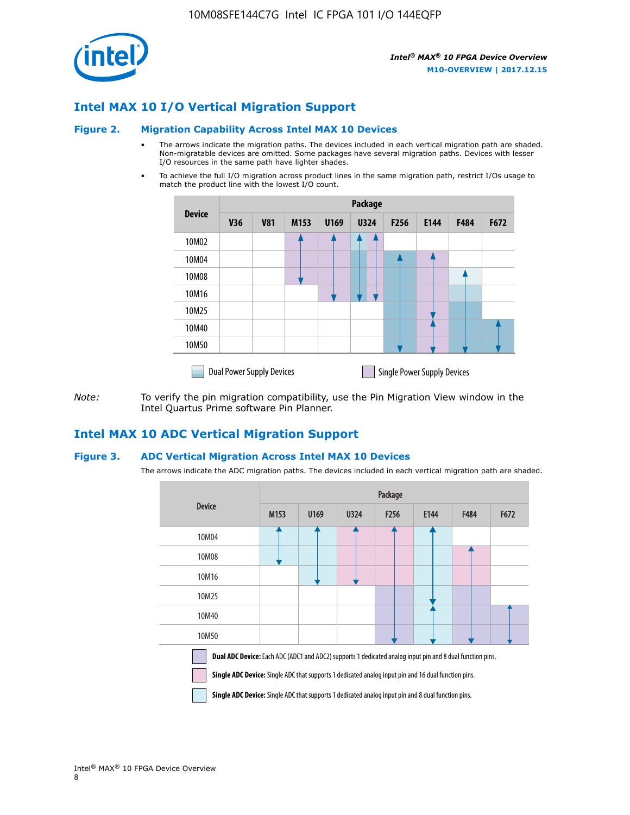

## **Intel MAX 10 I/O Vertical Migration Support**

#### **Figure 2. Migration Capability Across Intel MAX 10 Devices**

- The arrows indicate the migration paths. The devices included in each vertical migration path are shaded. Non-migratable devices are omitted. Some packages have several migration paths. Devices with lesser I/O resources in the same path have lighter shades.
- To achieve the full I/O migration across product lines in the same migration path, restrict I/Os usage to match the product line with the lowest I/O count.

|               | <b>Package</b>                   |            |      |      |             |      |                                    |      |      |
|---------------|----------------------------------|------------|------|------|-------------|------|------------------------------------|------|------|
| <b>Device</b> | <b>V36</b>                       | <b>V81</b> | M153 | U169 | <b>U324</b> | F256 | E144                               | F484 | F672 |
| 10M02         |                                  |            |      |      | 7           |      |                                    |      |      |
| 10M04         |                                  |            |      |      |             |      |                                    |      |      |
| 10M08         |                                  |            |      |      |             |      |                                    |      |      |
| 10M16         |                                  |            |      |      |             |      |                                    |      |      |
| 10M25         |                                  |            |      |      |             |      |                                    |      |      |
| 10M40         |                                  |            |      |      |             |      |                                    |      |      |
| 10M50         |                                  |            |      |      |             |      |                                    |      |      |
|               | <b>Dual Power Supply Devices</b> |            |      |      |             |      | <b>Single Power Supply Devices</b> |      |      |

*Note:* To verify the pin migration compatibility, use the Pin Migration View window in the Intel Quartus Prime software Pin Planner.

## **Intel MAX 10 ADC Vertical Migration Support**

#### **Figure 3. ADC Vertical Migration Across Intel MAX 10 Devices**

The arrows indicate the ADC migration paths. The devices included in each vertical migration path are shaded.

|                                                                                                                                                                                                                         | Package          |      |      |                  |      |             |      |  |
|-------------------------------------------------------------------------------------------------------------------------------------------------------------------------------------------------------------------------|------------------|------|------|------------------|------|-------------|------|--|
| <b>Device</b>                                                                                                                                                                                                           | M <sub>153</sub> | U169 | U324 | F <sub>256</sub> | E144 | <b>F484</b> | F672 |  |
| 10M04                                                                                                                                                                                                                   |                  |      |      |                  |      |             |      |  |
| 10M08                                                                                                                                                                                                                   |                  |      |      |                  |      |             |      |  |
| 10M16                                                                                                                                                                                                                   |                  |      |      |                  |      |             |      |  |
| 10M25                                                                                                                                                                                                                   |                  |      |      |                  |      |             |      |  |
| 10M40                                                                                                                                                                                                                   |                  |      |      |                  |      |             |      |  |
| 10M50                                                                                                                                                                                                                   |                  |      |      |                  |      |             |      |  |
| <b>Dual ADC Device:</b> Each ADC (ADC1 and ADC2) supports 1 dedicated analog input pin and 8 dual function pins.<br>Single ADC Device: Single ADC that supports 1 dedicated analog input pin and 16 dual function pins. |                  |      |      |                  |      |             |      |  |

**Single ADC Device:** Single ADC that supports 1 dedicated analog input pin and 8 dual function pins.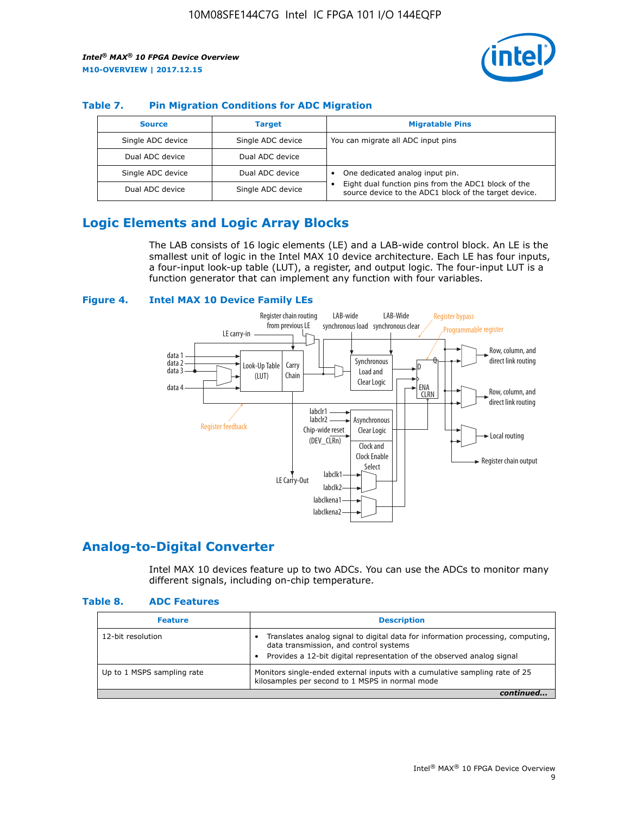

## **Table 7. Pin Migration Conditions for ADC Migration**

| <b>Source</b>     | <b>Target</b>     | <b>Migratable Pins</b>                                                                                            |
|-------------------|-------------------|-------------------------------------------------------------------------------------------------------------------|
| Single ADC device | Single ADC device | You can migrate all ADC input pins                                                                                |
| Dual ADC device   | Dual ADC device   |                                                                                                                   |
| Single ADC device | Dual ADC device   | One dedicated analog input pin.                                                                                   |
| Dual ADC device   | Single ADC device | Eight dual function pins from the ADC1 block of the<br>٠<br>source device to the ADC1 block of the target device. |

## **Logic Elements and Logic Array Blocks**

The LAB consists of 16 logic elements (LE) and a LAB-wide control block. An LE is the smallest unit of logic in the Intel MAX 10 device architecture. Each LE has four inputs, a four-input look-up table (LUT), a register, and output logic. The four-input LUT is a function generator that can implement any function with four variables.

#### **Figure 4. Intel MAX 10 Device Family LEs**



## **Analog-to-Digital Converter**

Intel MAX 10 devices feature up to two ADCs. You can use the ADCs to monitor many different signals, including on-chip temperature.

#### **Table 8. ADC Features**

| <b>Feature</b>             | <b>Description</b>                                                                                                                                                                                  |
|----------------------------|-----------------------------------------------------------------------------------------------------------------------------------------------------------------------------------------------------|
| 12-bit resolution          | Translates analog signal to digital data for information processing, computing,<br>data transmission, and control systems<br>Provides a 12-bit digital representation of the observed analog signal |
| Up to 1 MSPS sampling rate | Monitors single-ended external inputs with a cumulative sampling rate of 25<br>kilosamples per second to 1 MSPS in normal mode                                                                      |
|                            |                                                                                                                                                                                                     |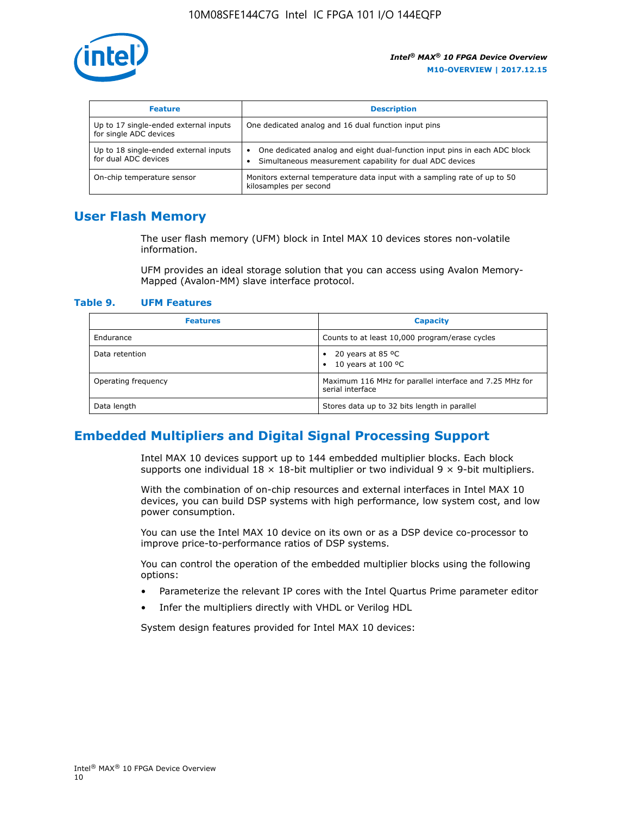

| <b>Feature</b>                                                  | <b>Description</b>                                                                                                                         |
|-----------------------------------------------------------------|--------------------------------------------------------------------------------------------------------------------------------------------|
| Up to 17 single-ended external inputs<br>for single ADC devices | One dedicated analog and 16 dual function input pins                                                                                       |
| Up to 18 single-ended external inputs<br>for dual ADC devices   | One dedicated analog and eight dual-function input pins in each ADC block<br>٠<br>Simultaneous measurement capability for dual ADC devices |
| On-chip temperature sensor                                      | Monitors external temperature data input with a sampling rate of up to 50<br>kilosamples per second                                        |

## **User Flash Memory**

The user flash memory (UFM) block in Intel MAX 10 devices stores non-volatile information.

UFM provides an ideal storage solution that you can access using Avalon Memory-Mapped (Avalon-MM) slave interface protocol.

#### **Table 9. UFM Features**

| <b>Features</b>     | <b>Capacity</b>                                                             |
|---------------------|-----------------------------------------------------------------------------|
| Endurance           | Counts to at least 10,000 program/erase cycles                              |
| Data retention      | 20 years at 85 $^{\circ}$ C<br>٠<br>10 years at 100 °C<br>$\bullet$         |
| Operating frequency | Maximum 116 MHz for parallel interface and 7.25 MHz for<br>serial interface |
| Data length         | Stores data up to 32 bits length in parallel                                |

## **Embedded Multipliers and Digital Signal Processing Support**

Intel MAX 10 devices support up to 144 embedded multiplier blocks. Each block supports one individual  $18 \times 18$ -bit multiplier or two individual  $9 \times 9$ -bit multipliers.

With the combination of on-chip resources and external interfaces in Intel MAX 10 devices, you can build DSP systems with high performance, low system cost, and low power consumption.

You can use the Intel MAX 10 device on its own or as a DSP device co-processor to improve price-to-performance ratios of DSP systems.

You can control the operation of the embedded multiplier blocks using the following options:

- Parameterize the relevant IP cores with the Intel Quartus Prime parameter editor
- Infer the multipliers directly with VHDL or Verilog HDL

System design features provided for Intel MAX 10 devices: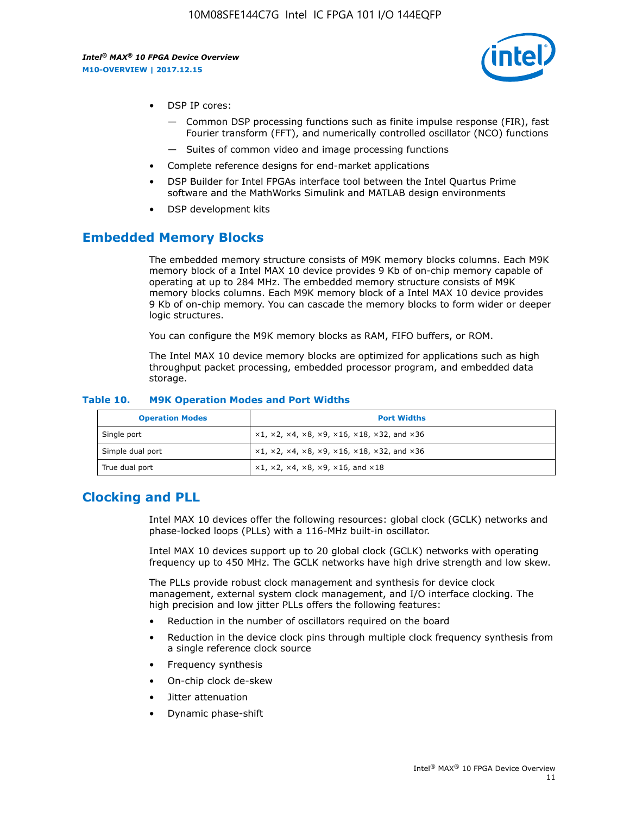

- DSP IP cores:
	- Common DSP processing functions such as finite impulse response (FIR), fast Fourier transform (FFT), and numerically controlled oscillator (NCO) functions
	- Suites of common video and image processing functions
- Complete reference designs for end-market applications
- DSP Builder for Intel FPGAs interface tool between the Intel Quartus Prime software and the MathWorks Simulink and MATLAB design environments
- DSP development kits

## **Embedded Memory Blocks**

The embedded memory structure consists of M9K memory blocks columns. Each M9K memory block of a Intel MAX 10 device provides 9 Kb of on-chip memory capable of operating at up to 284 MHz. The embedded memory structure consists of M9K memory blocks columns. Each M9K memory block of a Intel MAX 10 device provides 9 Kb of on-chip memory. You can cascade the memory blocks to form wider or deeper logic structures.

You can configure the M9K memory blocks as RAM, FIFO buffers, or ROM.

The Intel MAX 10 device memory blocks are optimized for applications such as high throughput packet processing, embedded processor program, and embedded data storage.

| <b>Operation Modes</b> | <b>Port Widths</b>                                                            |
|------------------------|-------------------------------------------------------------------------------|
| Single port            | $x1, x2, x4, x8, x9, x16, x18, x32, and x36$                                  |
| Simple dual port       | $x1, x2, x4, x8, x9, x16, x18, x32, and x36$                                  |
| True dual port         | $\times1, \times2, \times4, \times8, \times9, \times16, \text{and } \times18$ |

#### **Table 10. M9K Operation Modes and Port Widths**

## **Clocking and PLL**

Intel MAX 10 devices offer the following resources: global clock (GCLK) networks and phase-locked loops (PLLs) with a 116-MHz built-in oscillator.

Intel MAX 10 devices support up to 20 global clock (GCLK) networks with operating frequency up to 450 MHz. The GCLK networks have high drive strength and low skew.

The PLLs provide robust clock management and synthesis for device clock management, external system clock management, and I/O interface clocking. The high precision and low jitter PLLs offers the following features:

- Reduction in the number of oscillators required on the board
- Reduction in the device clock pins through multiple clock frequency synthesis from a single reference clock source
- Frequency synthesis
- On-chip clock de-skew
- Jitter attenuation
- Dynamic phase-shift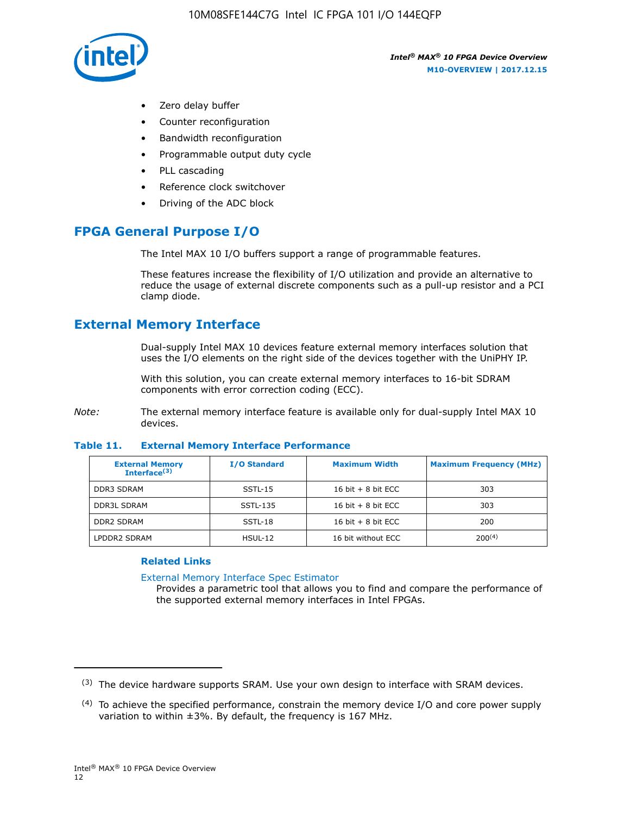

- Zero delay buffer
- Counter reconfiguration
- Bandwidth reconfiguration
- Programmable output duty cycle
- PLL cascading
- Reference clock switchover
- Driving of the ADC block

## **FPGA General Purpose I/O**

The Intel MAX 10 I/O buffers support a range of programmable features.

These features increase the flexibility of I/O utilization and provide an alternative to reduce the usage of external discrete components such as a pull-up resistor and a PCI clamp diode.

## **External Memory Interface**

Dual-supply Intel MAX 10 devices feature external memory interfaces solution that uses the I/O elements on the right side of the devices together with the UniPHY IP.

With this solution, you can create external memory interfaces to 16-bit SDRAM components with error correction coding (ECC).

*Note:* The external memory interface feature is available only for dual-supply Intel MAX 10 devices.

#### **Table 11. External Memory Interface Performance**

| <b>External Memory</b><br>Interface <sup>(3)</sup> | <b>I/O Standard</b> | <b>Maximum Width</b> | <b>Maximum Frequency (MHz)</b> |
|----------------------------------------------------|---------------------|----------------------|--------------------------------|
| <b>DDR3 SDRAM</b>                                  | SSTL-15             | 16 bit $+8$ bit ECC  | 303                            |
| <b>DDR3L SDRAM</b>                                 | SSTL-135            | 16 bit $+8$ bit ECC  | 303                            |
| <b>DDR2 SDRAM</b>                                  | SSTL-18             | 16 bit $+8$ bit ECC  | 200                            |
| LPDDR2 SDRAM                                       | $H SUL-12$          | 16 bit without ECC   | 200(4)                         |

#### **Related Links**

[External Memory Interface Spec Estimator](http://www.altera.com/technology/memory/estimator/mem-emif-index.html)

Provides a parametric tool that allows you to find and compare the performance of the supported external memory interfaces in Intel FPGAs.

 $(3)$  The device hardware supports SRAM. Use your own design to interface with SRAM devices.

 $(4)$  To achieve the specified performance, constrain the memory device I/O and core power supply variation to within ±3%. By default, the frequency is 167 MHz.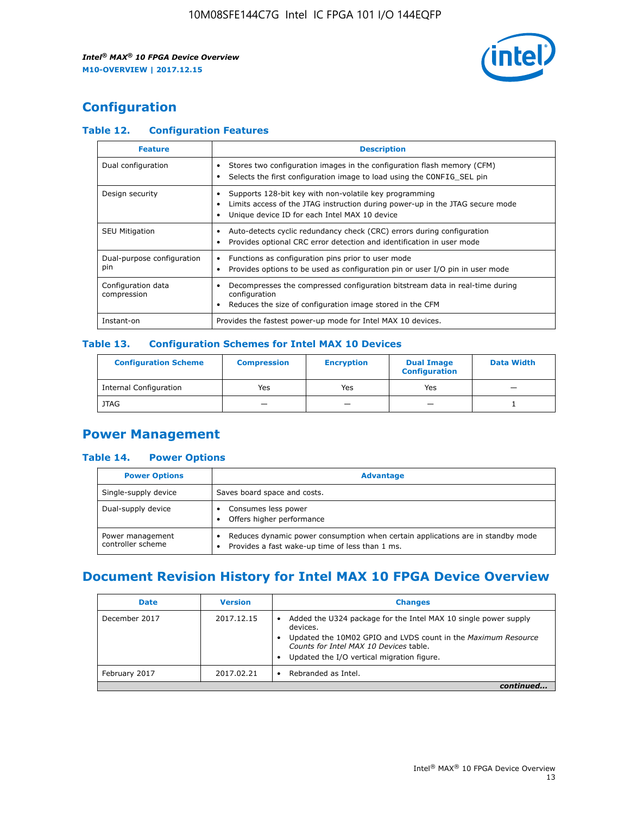

## **Configuration**

## **Table 12. Configuration Features**

| <b>Feature</b>                    | <b>Description</b>                                                                                                                                                                       |
|-----------------------------------|------------------------------------------------------------------------------------------------------------------------------------------------------------------------------------------|
| Dual configuration                | Stores two configuration images in the configuration flash memory (CFM)<br>Selects the first configuration image to load using the CONFIG SEL pin                                        |
| Design security                   | Supports 128-bit key with non-volatile key programming<br>Limits access of the JTAG instruction during power-up in the JTAG secure mode<br>Unique device ID for each Intel MAX 10 device |
| <b>SEU Mitigation</b>             | Auto-detects cyclic redundancy check (CRC) errors during configuration<br>Provides optional CRC error detection and identification in user mode                                          |
| Dual-purpose configuration<br>pin | Functions as configuration pins prior to user mode<br>Provides options to be used as configuration pin or user I/O pin in user mode                                                      |
| Configuration data<br>compression | Decompresses the compressed configuration bitstream data in real-time during<br>configuration<br>Reduces the size of configuration image stored in the CFM                               |
| Instant-on                        | Provides the fastest power-up mode for Intel MAX 10 devices.                                                                                                                             |

### **Table 13. Configuration Schemes for Intel MAX 10 Devices**

| <b>Configuration Scheme</b>   | <b>Compression</b>       | <b>Encryption</b> | <b>Dual Image</b><br><b>Configuration</b> | <b>Data Width</b> |
|-------------------------------|--------------------------|-------------------|-------------------------------------------|-------------------|
| <b>Internal Configuration</b> | Yes                      | Yes               | Yes                                       |                   |
| <b>JTAG</b>                   | $\overline{\phantom{a}}$ |                   | -                                         |                   |

## **Power Management**

### **Table 14. Power Options**

| <b>Power Options</b>                  | <b>Advantage</b>                                                                                                                   |  |
|---------------------------------------|------------------------------------------------------------------------------------------------------------------------------------|--|
| Single-supply device                  | Saves board space and costs.                                                                                                       |  |
| Dual-supply device                    | Consumes less power<br>Offers higher performance                                                                                   |  |
| Power management<br>controller scheme | Reduces dynamic power consumption when certain applications are in standby mode<br>Provides a fast wake-up time of less than 1 ms. |  |

## **Document Revision History for Intel MAX 10 FPGA Device Overview**

| <b>Date</b>   | <b>Version</b> | <b>Changes</b>                                                                                                                                                                                                                       |
|---------------|----------------|--------------------------------------------------------------------------------------------------------------------------------------------------------------------------------------------------------------------------------------|
| December 2017 | 2017.12.15     | Added the U324 package for the Intel MAX 10 single power supply<br>devices.<br>Updated the 10M02 GPIO and LVDS count in the Maximum Resource<br>Counts for Intel MAX 10 Devices table.<br>Updated the I/O vertical migration figure. |
| February 2017 | 2017.02.21     | Rebranded as Intel.                                                                                                                                                                                                                  |
|               |                |                                                                                                                                                                                                                                      |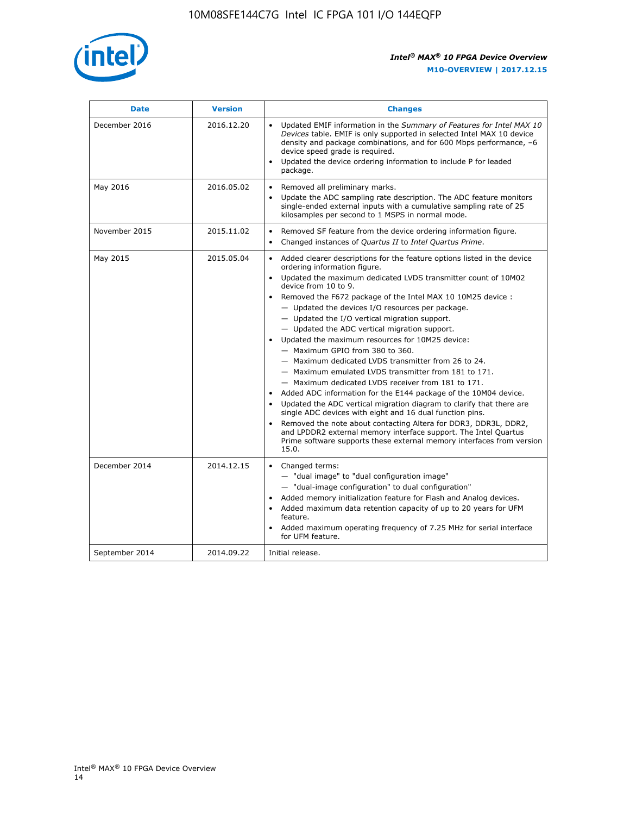

| <b>Date</b>    | <b>Version</b> | <b>Changes</b>                                                                                                                                                                                                                                                                                                                                                                                                                                                                                                                                                                                                                                                                                                                                                                                                                                                                                                                                                                                                                                                                                                                                           |
|----------------|----------------|----------------------------------------------------------------------------------------------------------------------------------------------------------------------------------------------------------------------------------------------------------------------------------------------------------------------------------------------------------------------------------------------------------------------------------------------------------------------------------------------------------------------------------------------------------------------------------------------------------------------------------------------------------------------------------------------------------------------------------------------------------------------------------------------------------------------------------------------------------------------------------------------------------------------------------------------------------------------------------------------------------------------------------------------------------------------------------------------------------------------------------------------------------|
| December 2016  | 2016.12.20     | • Updated EMIF information in the Summary of Features for Intel MAX 10<br>Devices table. EMIF is only supported in selected Intel MAX 10 device<br>density and package combinations, and for 600 Mbps performance, -6<br>device speed grade is required.<br>Updated the device ordering information to include P for leaded<br>package.                                                                                                                                                                                                                                                                                                                                                                                                                                                                                                                                                                                                                                                                                                                                                                                                                  |
| May 2016       | 2016.05.02     | Removed all preliminary marks.<br>Update the ADC sampling rate description. The ADC feature monitors<br>$\bullet$<br>single-ended external inputs with a cumulative sampling rate of 25<br>kilosamples per second to 1 MSPS in normal mode.                                                                                                                                                                                                                                                                                                                                                                                                                                                                                                                                                                                                                                                                                                                                                                                                                                                                                                              |
| November 2015  | 2015.11.02     | Removed SF feature from the device ordering information figure.<br>$\bullet$<br>Changed instances of Quartus II to Intel Quartus Prime.<br>$\bullet$                                                                                                                                                                                                                                                                                                                                                                                                                                                                                                                                                                                                                                                                                                                                                                                                                                                                                                                                                                                                     |
| May 2015       | 2015.05.04     | Added clearer descriptions for the feature options listed in the device<br>$\bullet$<br>ordering information figure.<br>Updated the maximum dedicated LVDS transmitter count of 10M02<br>$\bullet$<br>device from 10 to 9.<br>Removed the F672 package of the Intel MAX 10 10M25 device :<br>- Updated the devices I/O resources per package.<br>$-$ Updated the I/O vertical migration support.<br>- Updated the ADC vertical migration support.<br>Updated the maximum resources for 10M25 device:<br>- Maximum GPIO from 380 to 360.<br>- Maximum dedicated LVDS transmitter from 26 to 24.<br>- Maximum emulated LVDS transmitter from 181 to 171.<br>- Maximum dedicated LVDS receiver from 181 to 171.<br>Added ADC information for the E144 package of the 10M04 device.<br>$\bullet$<br>Updated the ADC vertical migration diagram to clarify that there are<br>single ADC devices with eight and 16 dual function pins.<br>Removed the note about contacting Altera for DDR3, DDR3L, DDR2,<br>and LPDDR2 external memory interface support. The Intel Quartus<br>Prime software supports these external memory interfaces from version<br>15.0. |
| December 2014  | 2014.12.15     | $\bullet$<br>Changed terms:<br>- "dual image" to "dual configuration image"<br>- "dual-image configuration" to dual configuration"<br>Added memory initialization feature for Flash and Analog devices.<br>$\bullet$<br>Added maximum data retention capacity of up to 20 years for UFM<br>$\bullet$<br>feature.<br>Added maximum operating frequency of 7.25 MHz for serial interface<br>for UFM feature.                                                                                                                                                                                                                                                                                                                                                                                                                                                                                                                                                                                                                                                                                                                                               |
| September 2014 | 2014.09.22     | Initial release.                                                                                                                                                                                                                                                                                                                                                                                                                                                                                                                                                                                                                                                                                                                                                                                                                                                                                                                                                                                                                                                                                                                                         |